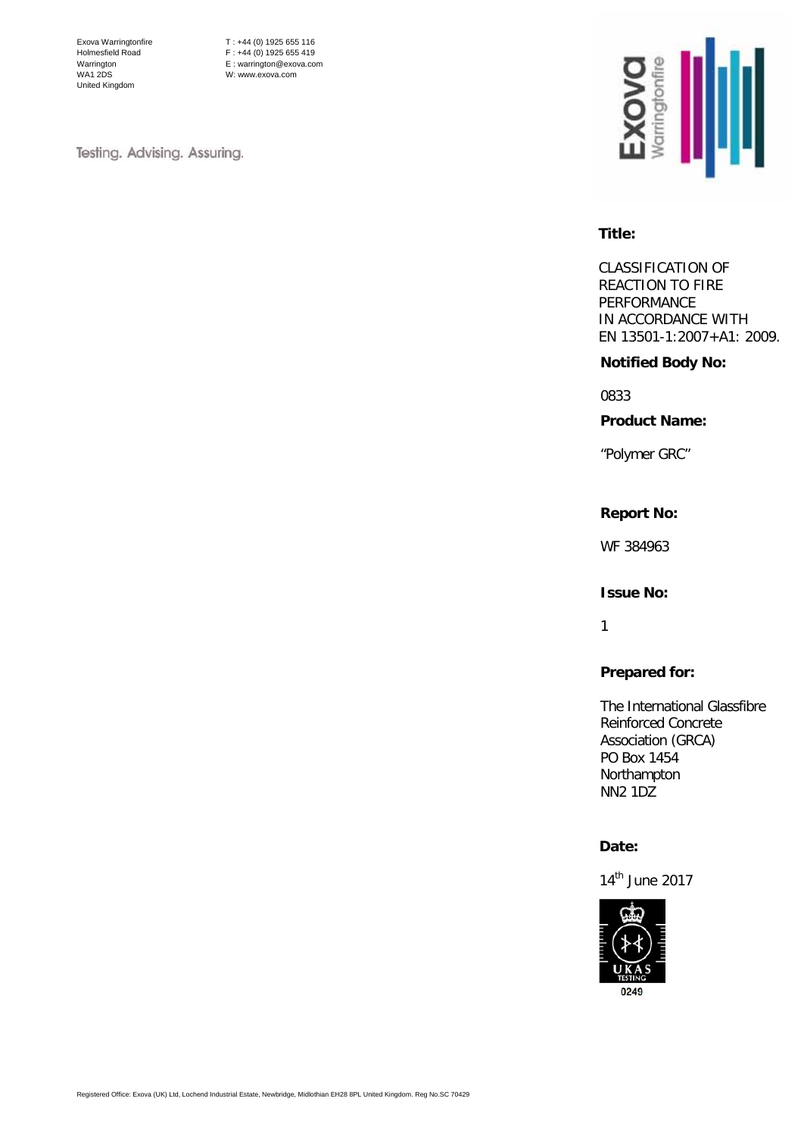Exova Warringtonfire Holmesfield Road Warrington WA1 2DS United Kingdom

T : +44 (0) 1925 655 116 F : +44 (0) 1925 655 419 E : warrington@exova.com W: www.exova.com

Testing. Advising. Assuring.



#### **Title:**

CLASSIFICATION OF REACTION TO FIRE PERFORMANCE IN ACCORDANCE WITH EN 13501-1:2007+A1: 2009.

## **Notified Body No:**

0833

**Product Name:**

"Polymer GRC"

## **Report No:**

WF 384963

#### **Issue No:**

1

# **Prepared for:**

The International Glassfibre Reinforced Concrete Association (GRCA) PO Box 1454 Northampton NN2 1DZ

## **Date:**

14<sup>th</sup> June 2017

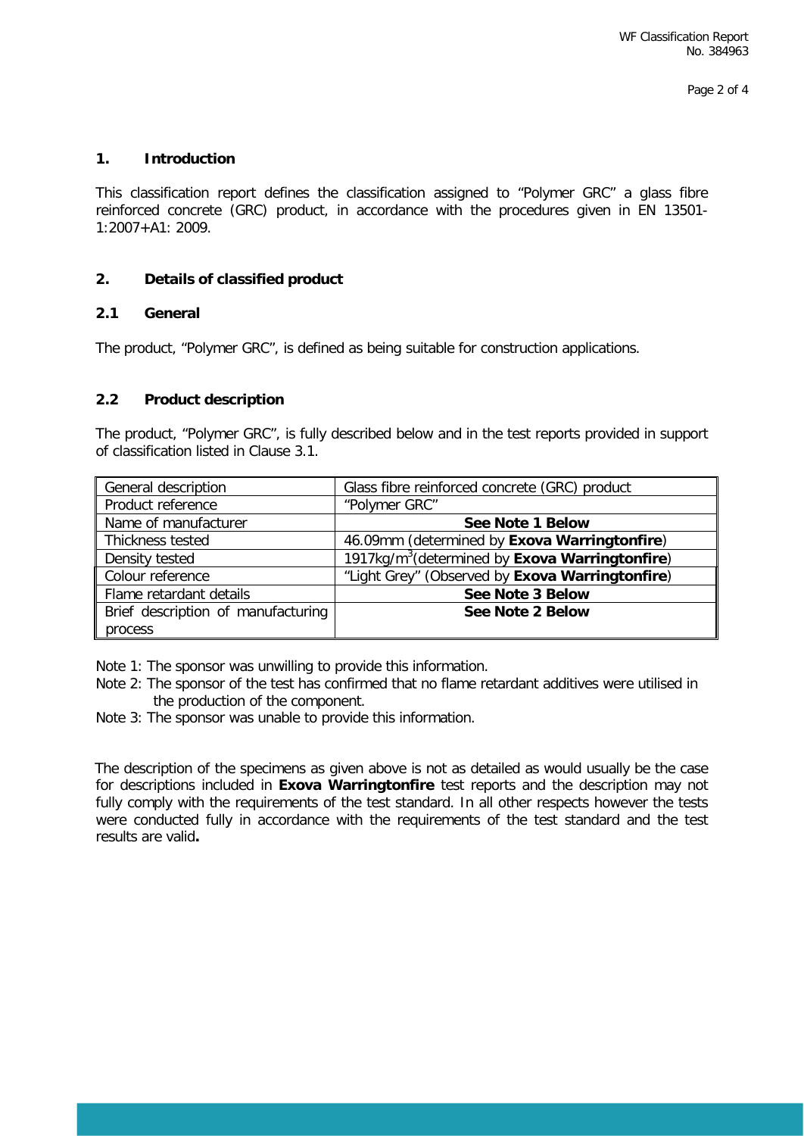## **1. Introduction**

This classification report defines the classification assigned to "Polymer GRC" a glass fibre reinforced concrete (GRC) product, in accordance with the procedures given in EN 13501- 1:2007+A1: 2009.

#### **2. Details of classified product**

## **2.1 General**

The product, "Polymer GRC", is defined as being suitable for construction applications.

## **2.2 Product description**

The product, "Polymer GRC", is fully described below and in the test reports provided in support of classification listed in Clause 3.1.

| General description                | Glass fibre reinforced concrete (GRC) product                     |  |  |
|------------------------------------|-------------------------------------------------------------------|--|--|
| Product reference                  | "Polymer GRC"                                                     |  |  |
| Name of manufacturer               | <b>See Note 1 Below</b>                                           |  |  |
| Thickness tested                   | 46.09mm (determined by Exova Warringtonfire)                      |  |  |
| Density tested                     | 1917kg/m <sup>3</sup> (determined by <b>Exova Warringtonfire)</b> |  |  |
| Colour reference                   | "Light Grey" (Observed by Exova Warringtonfire)                   |  |  |
| Flame retardant details            | See Note 3 Below                                                  |  |  |
| Brief description of manufacturing | See Note 2 Below                                                  |  |  |
| process                            |                                                                   |  |  |

Note 1: The sponsor was unwilling to provide this information.

- Note 2: The sponsor of the test has confirmed that no flame retardant additives were utilised in the production of the component.
- Note 3: The sponsor was unable to provide this information.

The description of the specimens as given above is not as detailed as would usually be the case for descriptions included in **Exova Warringtonfire** test reports and the description may not fully comply with the requirements of the test standard. In all other respects however the tests were conducted fully in accordance with the requirements of the test standard and the test results are valid**.**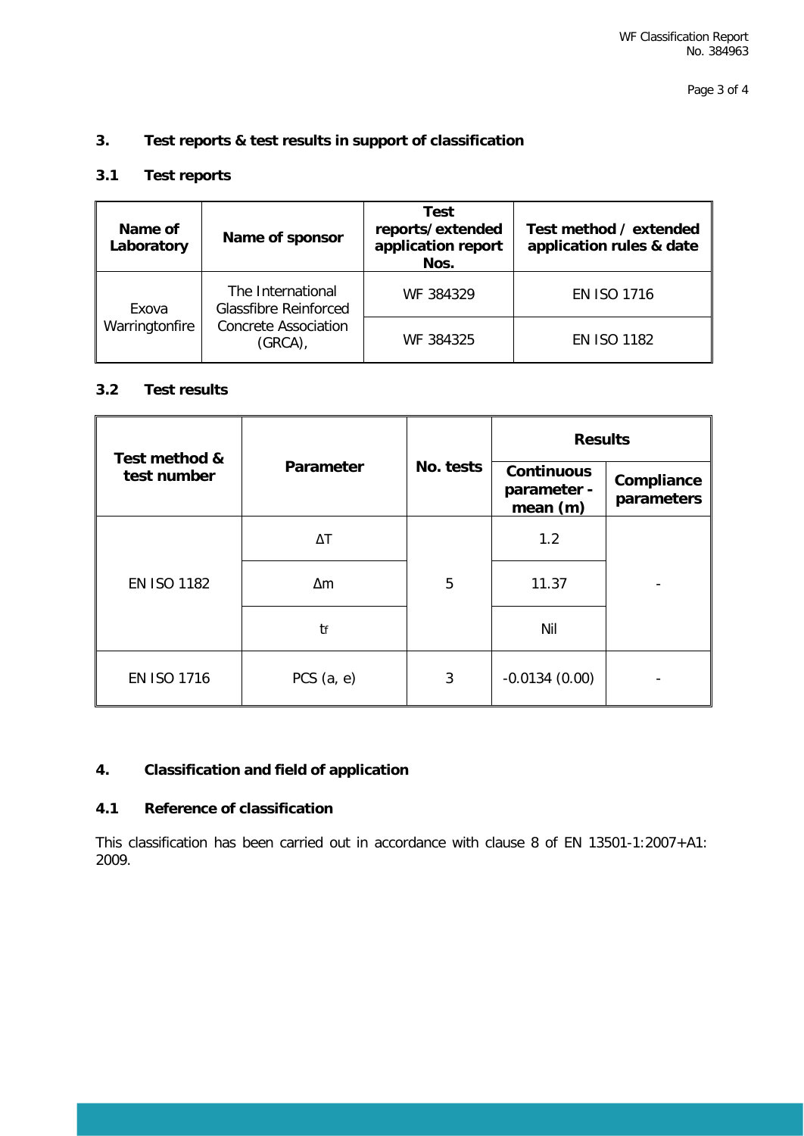## **3. Test reports & test results in support of classification**

# **3.1 Test reports**

| Name of<br>Laboratory   | Name of sponsor                                                                            | Test<br>reports/extended<br>application report<br>Nos. | Test method / extended<br>application rules & date |
|-------------------------|--------------------------------------------------------------------------------------------|--------------------------------------------------------|----------------------------------------------------|
| Exova<br>Warringtonfire | The International<br><b>Glassfibre Reinforced</b><br><b>Concrete Association</b><br>(GRCA) | WF 384329                                              | <b>EN ISO 1716</b>                                 |
|                         |                                                                                            | WF 384325                                              | <b>EN ISO 1182</b>                                 |

## **3.2 Test results**

| Test method &<br>test number |              | No. tests | <b>Results</b>                               |                          |
|------------------------------|--------------|-----------|----------------------------------------------|--------------------------|
|                              | Parameter    |           | <b>Continuous</b><br>parameter -<br>mean (m) | Compliance<br>parameters |
| <b>EN ISO 1182</b>           | $\Delta T$   |           | 1.2                                          |                          |
|                              | $\Delta m$   | 5         | 11.37                                        |                          |
|                              | tf           |           | Nil                                          |                          |
| <b>EN ISO 1716</b>           | PCS $(a, e)$ | 3         | $-0.0134(0.00)$                              |                          |

## **4. Classification and field of application**

## **4.1 Reference of classification**

This classification has been carried out in accordance with clause 8 of EN 13501-1:2007+A1: 2009.